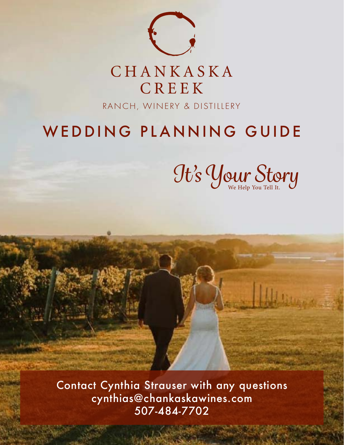

# WEDDING PLANNING GUIDE

We Help You Tell It. *It's Your Story*

Contact Cynthia Strauser with any questions cynthias@chankaskawines.com 507-484-7702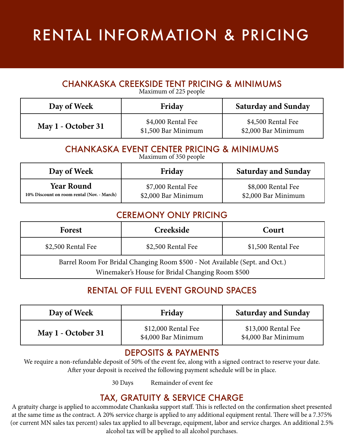# RENTAL INFORMATION & PRICING

# CHANKASKA CREEKSIDE TENT PRICING & MINIMUMS

Maximum of 225 people

| Day of Week        | Friday                                    | <b>Saturday and Sunday</b>                |
|--------------------|-------------------------------------------|-------------------------------------------|
| May 1 - October 31 | \$4,000 Rental Fee<br>\$1,500 Bar Minimum | \$4,500 Rental Fee<br>\$2,000 Bar Minimum |

# CHANKASKA EVENT CENTER PRICING & MINIMUMS

Maximum of 350 people

| Day of Week                                | Friday              | <b>Saturday and Sunday</b> |
|--------------------------------------------|---------------------|----------------------------|
| <b>Year Round</b>                          | \$7,000 Rental Fee  | \$8,000 Rental Fee         |
| 10% Discount on room rental (Nov. - March) | \$2,000 Bar Minimum | \$2,000 Bar Minimum        |

### CEREMONY ONLY PRICING

| Court                                                                       | Creekside          | Forest             |
|-----------------------------------------------------------------------------|--------------------|--------------------|
| \$1,500 Rental Fee                                                          | \$2,500 Rental Fee | \$2,500 Rental Fee |
| Barrel Room For Bridal Changing Room \$500 - Not Available (Sept. and Oct.) |                    |                    |
| Winemaker's House for Bridal Changing Room \$500                            |                    |                    |

# RENTAL OF FULL EVENT GROUND SPACES

| Day of Week        | Friday                                     | <b>Saturday and Sunday</b>                 |
|--------------------|--------------------------------------------|--------------------------------------------|
| May 1 - October 31 | \$12,000 Rental Fee<br>\$4,000 Bar Minimum | \$13,000 Rental Fee<br>\$4,000 Bar Minimum |

### DEPOSITS & PAYMENTS

We require a non-refundable deposit of 50% of the event fee, along with a signed contract to reserve your date. After your deposit is received the following payment schedule will be in place.

30 Days Remainder of event fee

# TAX, GRATUITY & SERVICE CHARGE

A gratuity charge is applied to accommodate Chankaska support staff. This is reflected on the confirmation sheet presented at the same time as the contract. A 20% service charge is applied to any additional equipment rental. There will be a 7.375% (or current MN sales tax percent) sales tax applied to all beverage, equipment, labor and service charges. An additional 2.5% alcohol tax will be applied to all alcohol purchases.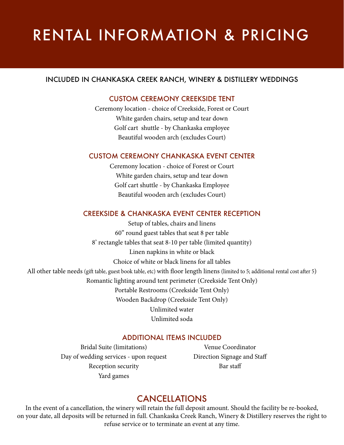# RENTAL INFORMATION & PRICING

#### INCLUDED IN CHANKASKA CREEK RANCH, WINERY & DISTILLERY WEDDINGS

#### CUSTOM CEREMONY CREEKSIDE TENT

Ceremony location - choice of Creekside, Forest or Court White garden chairs, setup and tear down Golf cart shuttle - by Chankaska employee Beautiful wooden arch (excludes Court)

#### CUSTOM CEREMONY CHANKASKA EVENT CENTER

Ceremony location - choice of Forest or Court White garden chairs, setup and tear down Golf cart shuttle - by Chankaska Employee Beautiful wooden arch (excludes Court)

#### CREEKSIDE & CHANKASKA EVENT CENTER RECEPTION

Setup of tables, chairs and linens 60" round guest tables that seat 8 per table 8' rectangle tables that seat 8-10 per table (limited quantity) Linen napkins in white or black Choice of white or black linens for all tables All other table needs (gift table, guest book table, etc) with floor length linens (limited to 5; additional rental cost after 5) Romantic lighting around tent perimeter (Creekside Tent Only) Portable Restrooms (Creekside Tent Only) Wooden Backdrop (Creekside Tent Only) Unlimited water Unlimited soda

#### ADDITIONAL ITEMS INCLUDED

Bridal Suite (limitations) Day of wedding services - upon request Reception security Yard games

Venue Coordinator Direction Signage and Staff Bar staff

### CANCELLATIONS

In the event of a cancellation, the winery will retain the full deposit amount. Should the facility be re-booked, on your date, all deposits will be returned in full. Chankaska Creek Ranch, Winery & Distillery reserves the right to refuse service or to terminate an event at any time.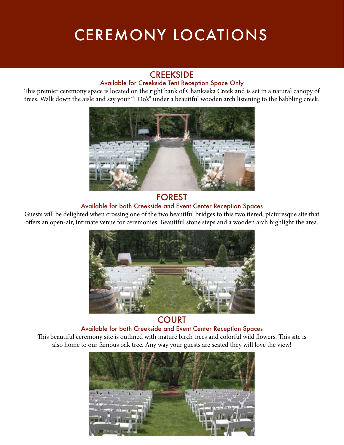# CEREMONY LOCATIONS

#### **CREEKSIDE**

#### Available for Creekside Tent Reception Space Only

This premier ceremony space is located on the right bank of Chankaska Creek and is set in a natural canopy of trees. Walk down the aisle and say your "I Do's" under a beautiful wooden arch listening to the babbling creek.



#### FOREST

#### Available for both Creekside and Event Center Reception Spaces

Guests will be delighted when crossing one of the two beautiful bridges to this two tiered, picturesque site that offers an open-air, intimate venue for ceremonies. Beautiful stone steps and a wooden arch highlight the area.



### **COURT**

#### Available for both Creekside and Event Center Reception Spaces

This beautiful ceremony site is outlined with mature birch trees and colorful wild flowers. This site is also home to our famous oak tree. Any way your guests are seated they will love the view!

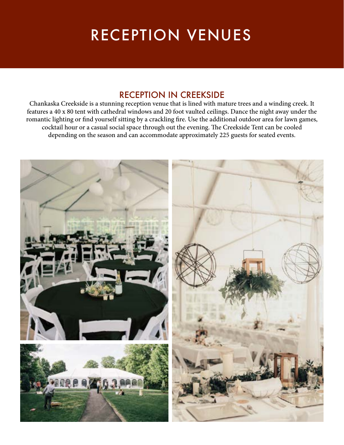# RECEPTION VENUES

### RECEPTION IN CREEKSIDE

Chankaska Creekside is a stunning reception venue that is lined with mature trees and a winding creek. It features a 40 x 80 tent with cathedral windows and 20 foot vaulted ceilings. Dance the night away under the romantic lighting or find yourself sitting by a crackling fire. Use the additional outdoor area for lawn games, cocktail hour or a casual social space through out the evening. The Creekside Tent can be cooled depending on the season and can accommodate approximately 225 guests for seated events.

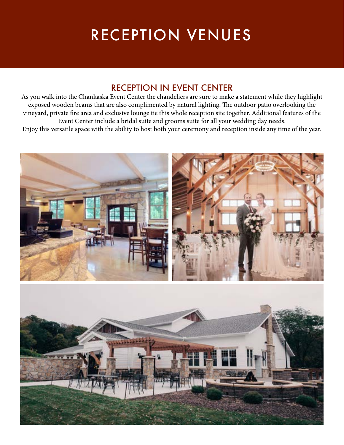# RECEPTION VENUES

# RECEPTION IN EVENT CENTER

As you walk into the Chankaska Event Center the chandeliers are sure to make a statement while they highlight exposed wooden beams that are also complimented by natural lighting. The outdoor patio overlooking the vineyard, private fire area and exclusive lounge tie this whole reception site together. Additional features of the Event Center include a bridal suite and grooms suite for all your wedding day needs. Enjoy this versatile space with the ability to host both your ceremony and reception inside any time of the year.

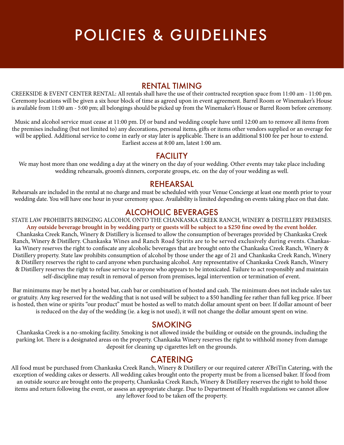# POLICIES & GUIDELINES

#### RENTAL TIMING

CREEKSIDE & EVENT CENTER RENTAL: All rentals shall have the use of their contracted reception space from 11:00 am - 11:00 pm. Ceremony locations will be given a six hour block of time as agreed upon in event agreement. Barrel Room or Winemaker's House is available from 11:00 am - 5:00 pm; all belongings should be picked up from the Winemaker's House or Barrel Room before ceremony.

Music and alcohol service must cease at 11:00 pm. DJ or band and wedding couple have until 12:00 am to remove all items from the premises including (but not limited to) any decorations, personal items, gifts or items other vendors supplied or an overage fee will be applied. Additional service to come in early or stay later is applicable. There is an additional \$100 fee per hour to extend. Earliest access at 8:00 am, latest 1:00 am.

#### **FACILITY**

We may host more than one wedding a day at the winery on the day of your wedding. Other events may take place including wedding rehearsals, groom's dinners, corporate groups, etc. on the day of your wedding as well.

#### REHEARSAL

Rehearsals are included in the rental at no charge and must be scheduled with your Venue Concierge at least one month prior to your wedding date. You will have one hour in your ceremony space. Availability is limited depending on events taking place on that date.

#### ALCOHOLIC BEVERAGES

STATE LAW PROHIBITS BRINGING ALCOHOL ONTO THE CHANKASKA CREEK RANCH, WINERY & DISTILLERY PREMISES. **Any outside beverage brought in by wedding party or guests will be subject to a \$250 fine owed by the event holder.** Chankaska Creek Ranch, Winery & Distillery is licensed to allow the consumption of beverages provided by Chankaska Creek Ranch, Winery & Distillery. Chankaska Wines and Ranch Road Spirits are to be served exclusively during events. Chankaska Winery reserves the right to confiscate any alcoholic beverages that are brought onto the Chankaska Creek Ranch, Winery & Distillery property. State law prohibits consumption of alcohol by those under the age of 21 and Chankaska Creek Ranch, Winery & Distillery reserves the right to card anyone when purchasing alcohol. Any representative of Chankaska Creek Ranch, Winery & Distillery reserves the right to refuse service to anyone who appears to be intoxicated. Failure to act responsibly and maintain self-discipline may result in removal of person from premises, legal intervention or termination of event.

Bar minimums may be met by a hosted bar, cash bar or combination of hosted and cash. The minimum does not include sales tax or gratuity. Any keg reserved for the wedding that is not used will be subject to a \$50 handling fee rather than full keg price. If beer is hosted, then wine or spirits "our product" must be hosted as well to match dollar amount spent on beer. If dollar amount of beer is reduced on the day of the wedding (ie. a keg is not used), it will not change the dollar amount spent on wine.

#### SMOKING

Chankaska Creek is a no-smoking facility. Smoking is not allowed inside the building or outside on the grounds, including the parking lot. There is a designated areas on the property. Chankaska Winery reserves the right to withhold money from damage deposit for cleaning up cigarettes left on the grounds.

#### CATERING

All food must be purchased from Chankaska Creek Ranch, Winery & Distillery or our required caterer A'BriTin Catering, with the exception of wedding cakes or desserts. All wedding cakes brought onto the property must be from a licensed baker. If food from an outside source are brought onto the property, Chankaska Creek Ranch, Winery & Distillery reserves the right to hold those items and return following the event, or assess an appropriate charge. Due to Department of Health regulations we cannot allow any leftover food to be taken off the property.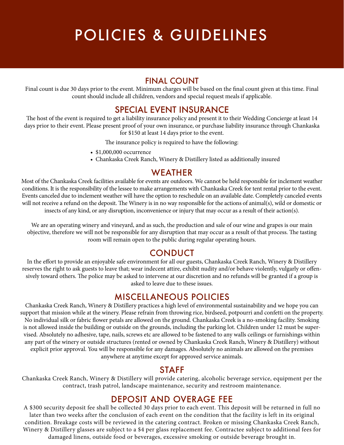# POLICIES & GUIDELINES

#### FINAL COUNT

Final count is due 30 days prior to the event. Minimum charges will be based on the final count given at this time. Final count should include all children, vendors and special request meals if applicable.

### SPECIAL EVENT INSURANCE

The host of the event is required to get a liability insurance policy and present it to their Wedding Concierge at least 14 days prior to their event. Please present proof of your own insurance, or purchase liability insurance through Chankaska for \$150 at least 14 days prior to the event.

The insurance policy is required to have the following:

- \$1,000,000 occurrence
- Chankaska Creek Ranch, Winery & Distillery listed as additionally insured

#### WEATHER

Most of the Chankaska Creek facilities available for events are outdoors. We cannot be held responsible for inclement weather conditions. It is the responsibility of the lessee to make arrangements with Chankaska Creek for tent rental prior to the event. Events canceled due to inclement weather will have the option to reschedule on an available date. Completely canceled events will not receive a refund on the deposit. The Winery is in no way responsible for the actions of animal(s), wild or domestic or insects of any kind, or any disruption, inconvenience or injury that may occur as a result of their action(s).

We are an operating winery and vineyard, and as such, the production and sale of our wine and grapes is our main objective, therefore we will not be responsible for any disruption that may occur as a result of that process. The tasting room will remain open to the public during regular operating hours.

### **CONDUCT**

In the effort to provide an enjoyable safe environment for all our guests, Chankaska Creek Ranch, Winery & Distillery reserves the right to ask guests to leave that; wear indecent attire, exhibit nudity and/or behave violently, vulgarly or offensively toward others. The police may be asked to intervene at our discretion and no refunds will be granted if a group is asked to leave due to these issues.

#### MISCELLANEOUS POLICIES

Chankaska Creek Ranch, Winery & Distillery practices a high level of environmental sustainability and we hope you can support that mission while at the winery. Please refrain from throwing rice, birdseed, potpourri and confetti on the property. No individual silk or fabric flower petals are allowed on the ground. Chankaska Creek is a no-smoking facility. Smoking is not allowed inside the building or outside on the grounds, including the parking lot. Children under 12 must be supervised. Absolutely no adhesive, tape, nails, screws etc are allowed to be fastened to any walls ceilings or furnishings within any part of the winery or outside structures (rented or owned by Chankaska Creek Ranch, Winery & Distillery) without explicit prior approval. You will be responsible for any damages. Absolutely no animals are allowed on the premises anywhere at anytime except for approved service animals.

#### STAFF

Chankaska Creek Ranch, Winery & Distillery will provide catering, alcoholic beverage service, equipment per the contract, trash patrol, landscape maintenance, security and restroom maintenance.

### DEPOSIT AND OVERAGE FEE

A \$300 security deposit fee shall be collected 30 days prior to each event. This deposit will be returned in full no later than two weeks after the conclusion of each event on the condition that the facility is left in its original condition. Breakage costs will be reviewed in the catering contract. Broken or missing Chankaska Creek Ranch, Winery & Distillery glasses are subject to a \$4 per glass replacement fee. Contractee subject to additional fees for damaged linens, outside food or beverages, excessive smoking or outside beverage brought in.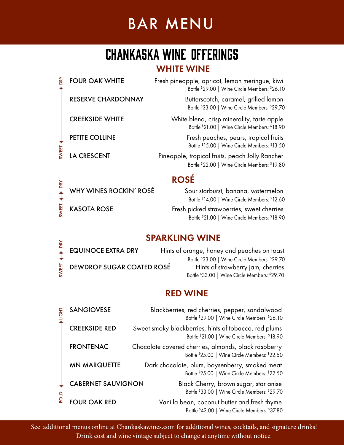# BAR MENU

# CHANKASKA WINE OFFERINGS

### WHITE WINE

| λă   | <b>FOUR OAK WHITE</b>     | Fresh pineapple, apricot, lemon meringue, kiwi<br>Bottle \$29.00   Wine Circle Members: \$26.10  |
|------|---------------------------|--------------------------------------------------------------------------------------------------|
|      | <b>RESERVE CHARDONNAY</b> | Butterscotch, caramel, grilled lemon<br>Bottle \$33.00   Wine Circle Members: \$29.70            |
|      | <b>CREEKSIDE WHITE</b>    | White blend, crisp minerality, tarte apple<br>Bottle \$21.00   Wine Circle Members: \$18.90      |
|      | PETITE COLLINE            | Fresh peaches, pears, tropical fruits<br>Bottle \$15.00   Wine Circle Members: \$13.50           |
| WEET | <b>LA CRESCENT</b>        | Pineapple, tropical fruits, peach Jolly Rancher<br>Bottle \$22.00   Wine Circle Members: \$19.80 |
|      |                           |                                                                                                  |

# ROSÉ

SWEET DRY

SWEET  $\leftarrow$  DRY

KASOTA ROSE Fresh picked strawberries, sweet cherries Bottle \$ 21.00 | Wine Circle Members: \$ 18.90 WHY WINES ROCKIN' ROSÉ Sour starburst, banana, watermelon Bottle \$ 14.00 | Wine Circle Members: \$ 12.60

### SPARKLING WINE

| ⋧ | $\sim$ and $\sim$ $\sim$                  |                                               |
|---|-------------------------------------------|-----------------------------------------------|
|   | <b>EQUINOCE EXTRA DRY</b>                 | Hints of orange, honey and peaches on toast   |
|   |                                           | Bottle \$33.00   Wine Circle Members: \$29.70 |
|   | $\frac{11}{10}$ DEWDROP SUGAR COATED ROSÉ | Hints of strawberry jam, cherries             |
|   |                                           | Bottle \$33.00   Wine Circle Members: \$29.70 |

### RED WINE

| <b>SANGIOVESE</b>         | Blackberries, red cherries, pepper, sandalwood<br>Bottle \$29.00   Wine Circle Members: \$26.10        |
|---------------------------|--------------------------------------------------------------------------------------------------------|
| <b>CREEKSIDE RED</b>      | Sweet smoky blackberries, hints of tobacco, red plums<br>Bottle \$21.00   Wine Circle Members: \$18.90 |
| <b>FRONTENAC</b>          | Chocolate covered cherries, almonds, black raspberry<br>Bottle \$25.00   Wine Circle Members: \$22.50  |
| <b>MN MARQUETTE</b>       | Dark chocolate, plum, boysenberry, smoked meat<br>Bottle \$25.00   Wine Circle Members: \$22.50        |
| <b>CABERNET SAUVIGNON</b> | Black Cherry, brown sugar, star anise<br>Bottle \$33.00   Wine Circle Members: \$29.70                 |
| <b>FOUR OAK RED</b>       | Vanilla bean, coconut butter and fresh thyme<br>Bottle \$42.00   Wine Circle Members: \$37.80          |

See additional menus online at Chankaskawines.com for additional wines, cocktails, and signature drinks! Drink cost and wine vintage subject to change at anytime without notice.